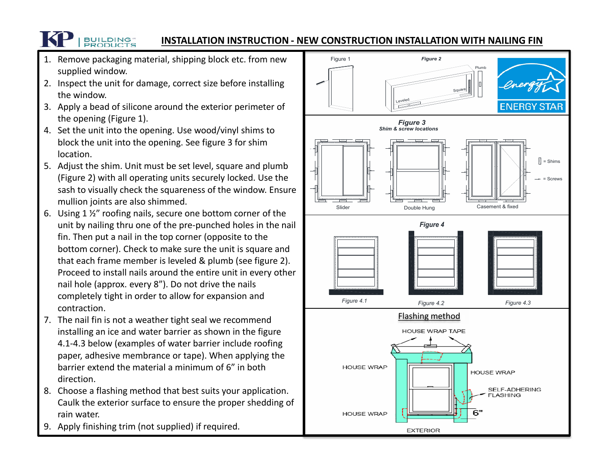## **INSTALLATION INSTRUCTION - NEW CONSTRUCTION INSTALLATION WITH NAILING FIN**

1. Remove packaging material, shipping block etc. from new supplied window.

**BUILDING** 

- 2. Inspect the unit for damage, correct size before installing the window.
- 3. Apply a bead of silicone around the exterior perimeter of the opening (Figure 1).
- 4. Set the unit into the opening. Use wood/vinyl shims to block the unit into the opening. See figure 3 for shim location.
- 5. Adjust the shim. Unit must be set level, square and plumb (Figure 2) with all operating units securely locked. Use the sash to visually check the squareness of the window. Ensure mullion joints are also shimmed.
- 6. Using 1 ½" roofing nails, secure one bottom corner of the unit by nailing thru one of the pre-punched holes in the nail fin. Then put a nail in the top corner (opposite to the bottom corner). Check to make sure the unit is square and that each frame member is leveled & plumb (see figure 2). Proceed to install nails around the entire unit in every other nail hole (approx. every 8"). Do not drive the nails completely tight in order to allow for expansion and contraction.
- 7. The nail fin is not a weather tight seal we recommend installing an ice and water barrier as shown in the figure 4.1-4.3 below (examples of water barrier include roofing paper, adhesive membrance or tape). When applying the barrier extend the material a minimum of 6" in both direction.
- 8. Choose a flashing method that best suits your application. Caulk the exterior surface to ensure the proper shedding of rain water.
- 9. Apply finishing trim (not supplied) if required.

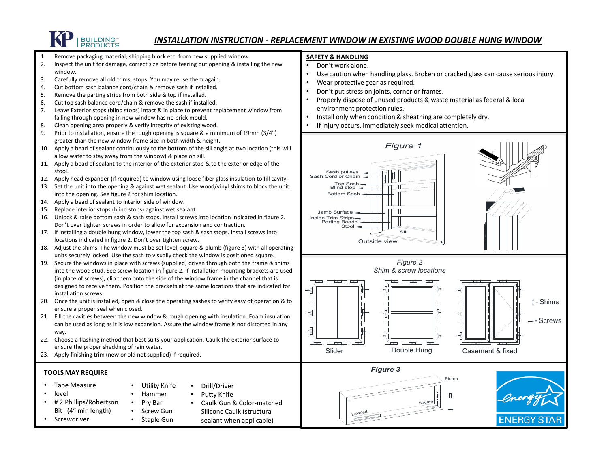

#### *INSTALLATION INSTRUCTION - REPLACEMENT WINDOW IN EXISTING WOOD DOUBLE HUNG WINDOW*

Sill

*Figure 2*

**Square** 

Plumb

= Shims

-- Screws

ENERGY ST

*Figure 1*

1. Remove packaging material, shipping block etc. from new supplied window. 2. Inspect the unit for damage, correct size before tearing out opening & installing the new window. 3. Carefully remove all old trims, stops. You may reuse them again. 4. Cut bottom sash balance cord/chain & remove sash if installed. 5. Remove the parting strips from both side & top if installed. 6. Cut top sash balance cord/chain & remove the sash if installed. 7. Leave Exterior stops (blind stops) intact & in place to prevent replacement window from falling through opening in new window has no brick mould. 8. Clean opening area properly & verify integrity of existing wood. 9. Prior to installation, ensure the rough opening is square & a minimum of 19mm (3/4") greater than the new window frame size in both width & height. 10. Apply a bead of sealant continuously to the bottom of the sill angle at two location (this will allow water to stay away from the window) & place on sill. 11. Apply a bead of sealant to the interior of the exterior stop & to the exterior edge of the stool. 12. Apply head expander (if required) to window using loose fiber glass insulation to fill cavity. 13. Set the unit into the opening & against wet sealant. Use wood/vinyl shims to block the unit into the opening. See figure 2 for shim location. 14. Apply a bead of sealant to interior side of window. 15. Replace interior stops (blind stops) against wet sealant. 16. Unlock & raise bottom sash & sash stops. Install screws into location indicated in figure 2. Don't over tighten screws in order to allow for expansion and contraction. 17. If installing a double hung window, lower the top sash & sash stops. Install screws into locations indicated in figure 2. Don't over tighten screw. 18. Adjust the shims. The window must be set level, square & plumb (figure 3) with all operating units securely locked. Use the sash to visually check the window is positioned square. 19. Secure the windows in place with screws (supplied) driven through both the frame & shims into the wood stud. See screw location in figure 2. If installation mounting brackets are used (in place of screws), clip them onto the side of the window frame in the channel that is designed to receive them. Position the brackets at the same locations that are indicated for installation screws. 20. Once the unit is installed, open & close the operating sashes to verify easy of operation & to ensure a proper seal when closed. 21. Fill the cavities between the new window & rough opening with insulation. Foam insulation can be used as long as it is low expansion. Assure the window frame is not distorted in any way. 22. Choose a flashing method that best suits your application. Caulk the exterior surface to ensure the proper shedding of rain water. 23. Apply finishing trim (new or old not supplied) if required. **TOOLS MAY REQUIRE** • Tape Measure • level • # 2 Phillips/Robertson Bit (4" min length) **Screwdriver** • Utility Knife • Hammer • Pry Bar • Screw Gun • Staple Gun • Drill/Driver Putty Knife • Caulk Gun & Color-matched Silicone Caulk (structural sealant when applicable) **SAFETY & HANDLING** • Don't work alone. Use caution when handling glass. Broken or cracked glass can cause serious injury. Wear protective gear as required. • Don't put stress on joints, corner or frames. • Properly dispose of unused products & waste material as federal & local environment protection rules. • Install only when condition & sheathing are completely dry. If injury occurs, immediately seek medical attention. Sash pulleys Sash Cord or Chain Top Sash Blind stop Bottom Sash Jamb Surface Inside Trim Strips Parting Beads Stool Outside view Slider **Double Hung** Casement & fixed *Shim & screw locations* Leveled *Figure 3*